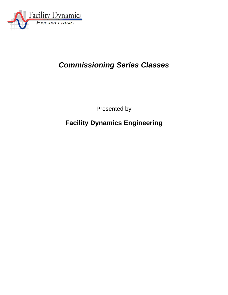

# *Commissioning Series Classes*

Presented by

**Facility Dynamics Engineering**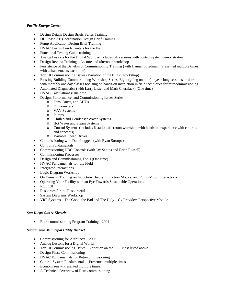## *Pacific Energy Center*

- Design Details Design Briefs Series Training
- DD Phase AE Coordination Design Brief Training
- Pump Application Design Brief Training
- HVAC Design Fundamentals for the Field
- Functional Testing Guide training
- Analog Lessons for the Digital World includes lab sessions with control system demonstrators
- Design Review Training Lecture and afternoon workshop
- Persistence of the Benefits of Commissioning Training (with Hannah Friedman; Presented multiple times with enhancements each time)
- Top 10 Commissioning Issues (Variation of the NCBC workshop)
- Existing Building Commissioning Workshop Series, Eight (going on nine) year-long sessions to-date with monthly one day classes focusing on hands-on instruction in field techniques for retrocommissioning
- Automated Diagnostics (with Larry Lister and Mark Cherniack) (One time)
- HVAC Calculations (One time)
- Design, Performance, and Commissioning Issues Series
	- o Fans, Ducts, and AHUs
		- o Economizers
		- o VAV Systems
		- o Pumps
		- o Chilled and Condenser Water Systems
		- Hot Water and Steam Systems
		- o Control Systems (includes 6 station afternoon workshop with hands-on experience with controls and concepts)
		- o Variable Speed Drives
- Commissioning with Data Loggers (with Ryan Stroupe)
- Control Fundamentals
- Commissioning DDC Controls (with Jay Santos and Brian Russell)
- Commissioning Processes
- Design and Commissioning Tools (One time)
- HVAC Fundamentals for the Field
- Integrated Interactions
- Logic Diagram Workshop
- On Demand Training on Induction Theory, Induction Motors, and Pump/Motor Interactions
- Operating Your Facility with an Eye Towards Sustainable Operations
- $\bullet$  RCx 101
- Resources for the Resourceful
- System Diagrams Workshop
- VRF Systems The Good, the Bad and The Ugly Cx Providers Perspective Module

#### *San Diego Gas & Electric*

Retrocommissioning Program Training - 2004

#### *Sacramento Municipal Utility District*

- Commissioning for Architects 2006
- Analog Lessons for a Digital World
- Top 10 Commissioning Issues Variation on the PEC class listed above
- Design Phase Commissioning
- HVAC Fundamentals for Retrocommissioning
- Control System Fundamentals Presented multiple times
- Economizers Presented multiple times
- A Technical Overview of Retrocommissioning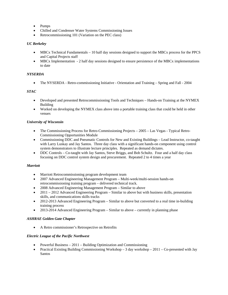- Pumps
- Chilled and Condenser Water Systems Commissioning Issues
- Retrocommissioning 101 (Variation on the PEC class)

#### *UC Berkeley*

- MBCx Technical Fundamentals 10 half day sessions designed to support the MBCx process for the PPCS and Capital Projects staff
- MBCx Implementation 2 half day sessions designed to ensure persistence of the MBCx implementations to date

#### *NYSERDA*

• The NYSERDA - Retro-commissioning Initiative - Orientation and Training – Spring and Fall - 2004

#### *STAC*

- Developed and presented Retrocommissioning Tools and Techniques Hands-on Training at the NYMEX Building
- Worked on developing the NYMEX class above into a portable training class that could be held in other venues

#### *University of Wisconsin*

- The Commissioning Process for Retro-Commissioning Projects 2005 Las Vegas Typical Retro-Commissioning Opportunities Module
- Commissioning DDC and Pneumatic Controls for New and Existing Buildings Lead Instructor, co-taught with Larry Luskay and Jay Santos. Three day class with a significant hands-on component using control system demonstrators to illustrate lecture principles. Repeated as demand dictates.
- DDC Controls Co-taught with Jay Santos, Steve Briggs, and Bob Schultz. Four and a half day class focusing on DDC control system design and procurement. Repeated 2 to 4 times a year

#### *Marriott*

- Marriott Retrocommissioning program development team
- 2007 Advanced Engineering Management Program Multi-week/multi-session hands-on retrocommissioning training program – delivered technical track.
- 2008 Advanced Engineering Management Program Similar to above
- 2011 2012 Advanced Engineering Program Similar to above but with business skills, presentation skills, and communications skills tracks
- 2012-2013 Advanced Engineering Program Similar to above but converted to a real time in-building training process
- 2013-2014 Advanced Engineering Program Similar to above currently in planning phase

#### *ASHRAE Golden Gate Chapter*

A Retro commissioner's Retrospective on Retrofits

#### *Electric League of the Pacific Northwest*

- Powerful Business 2011 Building Optimization and Commissioning
- Practical Existing Building Commissioning Workshop 3 day workshop  $2011$  Co-presented with Jay Santos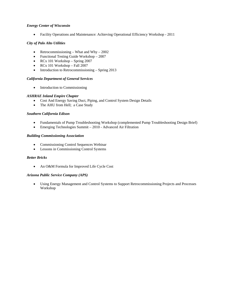#### *Energy Center of Wisconsin*

Facility Operations and Maintenance: Achieving Operational Efficiency Workshop - 2011

#### *City of Palo Alto Utilities*

- Retrocommissioning What and Why  $2002$
- Functional Testing Guide Workshop 2007
- RCx 101 Workshop Spring 2007
- $\bullet$  RCx 101 Workshop Fall 2007
- $\bullet$  Introduction to Retrocommissioning Spring 2013

#### *California Department of General Services*

• Introduction to Commissioning

#### *ASHRAE Inland Empire Chapter*

- Cost And Energy Saving Duct, Piping, and Control System Design Details
- The AHU from Hell; a Case Study

#### *Southern California Edison*

- Fundamentals of Pump Troubleshooting Workshop (complemented Pump Troubleshooting Design Brief)
- Emerging Technologies Summit 2010 Advanced Air Filtration

#### *Building Commissioning Association*

- Commissioning Control Sequences Webinar
- Lessons in Commissioning Control Systems

#### *Better Bricks*

• An O&M Formula for Improved Life Cycle Cost

#### *Arizona Public Service Company (APS)*

 Using Energy Management and Control Systems to Support Retrocommissioning Projects and Processes Workshop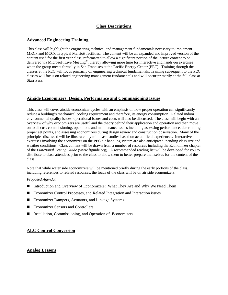# **Class Descriptions**

# **Advanced Engineering Training**

This class will highlight the engineering technical and management fundamentals necessary to implement MRCx and MCCx in typical Marriott facilities. The content will be an expanded and improved version of the content used for the first year class, reformatted to allow a significant portion of the lecture content to be delivered via Microsoft Live Meeting®, thereby allowing more time for interactive and hands-on exercises when the group meets formally in San Francisco at the Pacific Energy Center (PEC). Training through the classes at the PEC will focus primarily on engineering technical fundamentals. Training subsequent to the PEC classes will focus on related engineering management fundamentals and will occur primarily at the fall class at Starr Pass.

# **Airside Economizers: Design, Performance and Commissioning Issues**

This class will cover airside economizer cycles with an emphasis on how proper operation can significantly reduce a building's mechanical cooling requirement and therefore, its energy consumption. Related indoor environmental quality issues, operational issues and costs will also be discussed. The class will begin with an overview of why economizers are useful and the theory behind their application and operation and then move on to discuss commissioning, operations and maintenance issues including assessing performance, determining proper set points, and assessing economizers during design review and construction observation. Many of the principles discussed will be illustrated by mini case-studies based on actual field experiences. Interactive exercises involving the economizer on the PEC air handling system are also anticipated, pending class size and weather conditions. Class content will be drawn from a number of resources including the Economizer chapter of the *Functional Testing Guide* (www.ftguide.org). A recommended reading list will be developed for you to distribute to class attendees prior to the class to allow them to better prepare themselves for the content of the class.

Note that while water side economizers will be mentioned briefly during the early portions of the class, including references to related resources, the focus of the class will be on air side economizers.

#### *Proposed Agenda:*

- Introduction and Overview of Economizers: What They Are and Why We Need Them
- Economizer Control Processes, and Related Integration and Interaction issues
- Economizer Dampers, Actuators, and Linkage Systems
- Economizer Sensors and Controllers
- Installation, Commissioning, and Operation of Economizers

# **ALC Control Conversion**

## **Analog Lessons**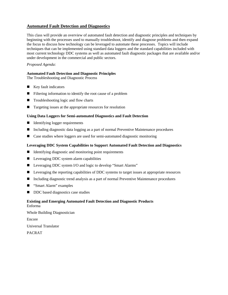# **Automated Fault Detection and Diagnostics**

This class will provide an overview of automated fault detection and diagnostic principles and techniques by beginning with the processes used to manually troubleshoot, identify and diagnose problems and then expand the focus to discuss how technology can be leveraged to automate these processes. Topics will include techniques that can be implemented using standard data loggers and the standard capabilities included with most current technology DDC systems as well as automated fault diagnostic packages that are available and/or under development in the commercial and public sectors.

## *Proposed Agenda:*

#### **Automated Fault Detection and Diagnostic Principles**

The Troubleshooting and Diagnostic Process

- $\blacksquare$  Key fault indicators
- **Filtering information to identify the root cause of a problem**
- Troubleshooting logic and flow charts
- Targeting issues at the appropriate resources for resolution

#### **Using Data Loggers for Semi-automated Diagnostics and Fault Detection**

- Identifying logger requirements
- Including diagnostic data logging as a part of normal Preventive Maintenance procedures
- Case studies where loggers are used for semi-automated diagnostic monitoring

#### **Leveraging DDC System Capabilities to Support Automated Fault Detection and Diagnostics**

- $\blacksquare$  Identifying diagnostic and monitoring point requirements
- **Leveraging DDC system alarm capabilities**
- Leveraging DDC system I/O and logic to develop "Smart Alarms"
- **Leveraging the reporting capabilities of DDC systems to target issues at appropriate resources**
- Including diagnostic trend analysis as a part of normal Preventive Maintenance procedures
- "Smart Alarm" examples
- DDC based diagnostics case studies

#### **Existing and Emerging Automated Fault Detection and Diagnostic Products**  Enforma

Whole Building Diagnostician Encore Universal Translator PACRAT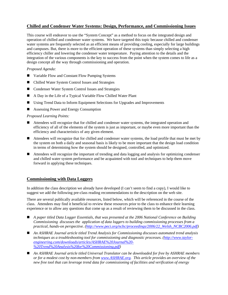# **Chilled and Condenser Water Systems: Design, Performance, and Commissioning Issues**

This course will endeavor to use the "System Concept" as a method to focus on the integrated design and operation of chilled and condenser water systems. We have targeted this topic because chilled and condenser water systems are frequently selected as an efficient means of providing cooling, especially for large buildings and campuses. But, there is more to the efficient operation of these systems than simply selecting a high efficiency chiller and lowering the condenser water temperature. Paying attention to the details and the integration of the various components is the key to success from the point when the system comes to life as a design concept all the way through commissioning and operation.

## *Proposed Agenda:*

- Variable Flow and Constant Flow Pumping Systems
- Chilled Water System Control Issues and Strategies
- Condenser Water System Control Issues and Strategies
- A Day in the Life of a Typical Variable Flow Chilled Water Plant
- Using Trend Data to Inform Equipment Selections for Upgrades and Improvements
- Assessing Power and Energy Consumption

#### *Proposed Learning Points:*

- Attendees will recognize that for chilled and condenser water systems, the integrated operation and efficiency of all of the elements of the system is just as important, or maybe even more important than the efficiency and characteristics of any given element.
- Attendees will recognize that for chilled and condenser water systems, the load profile that must be met by the system on both a daily and seasonal basis is likely to be more important that the design load condition in terms of determining how the system should be designed, controlled, and optimized.
- Attendees will recognize the important of trending and data logging and analysis for optimizing condenser and chilled water system performance and be acquainted with tool and techniques to help them move forward in applying these techniques.

## **Commissioning with Data Loggers**

In addition the class description we already have developed (I can't seem to find a copy), I would like to suggest we add the following pre-class reading recommendations to the description on the web site.

There are several publically available resources, listed below, which will be referenced in the course of the class. Attendees may find it beneficial to review these resources prior to the class to enhance their learning experience or to allow any questions that come up as a result of reviewing them to be discussed in the class.

- *A paper titled Data Logger Essentials, that was presented at the 2006 National Conference on Building Commissioning discusses the application of data loggers to building commissioning processes from a practical, hands-on perspective. (http://www.peci.org/ncbc/proceedings/2006/22\_Welsh\_NCBC2006.pdf)*
- *An ASHRAE Journal article titled Trend Analysis for Commissioning discusses automated trend analysis techniques as a troubleshooting tool for commissioning and diagnostic processes. (http://www.taylorengineering.com/downloads/articles/ASHRAE%20Journal%20- %20Trend%20Analysis%20for%20Commissioning.pdf)*
- *An ASHRAE Journal article titled Universal Translator can be downloaded for free by ASHRAE members or for a modest cost by non-members from www.ASHRAE.org. This article provides an overview of the new free tool that can leverage trend data for commissioning of facilities and verification of energy*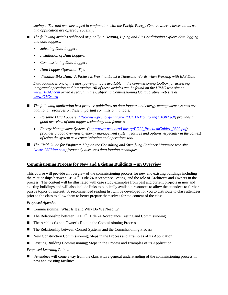*savings. The tool was developed in conjunction with the Pacific Energy Center, where classes on its use and application are offered frequently.* 

- *The following articles published originally in Heating, Piping and Air Conditioning explore data logging and data loggers.* 
	- *Selecting Data Loggers*
	- *Installation of Data Loggers*
	- *Commissioning Data Loggers*
	- *Data Logger Operation Tips*
	- *Visualize BAS Data; A Picture is Worth at Least a Thousand Words when Working with BAS Data*

*Data logging is one of the most powerful tools available in the commissioning toolbox for assessing*  integrated operation and interaction. All of these articles can be found on the HPAC web site at *www.HPAC.com or via a search in the California Commissioning Collaborative web site at www.CACx.org*

- The following application best practice guidelines on data loggers and energy management systems are *additional resources on these important commissioning tools.*
	- *Portable Data Loggers (http://www.peci.org/Library/PECI\_DxMonitoring1\_0302.pdf) provides a good overview of data logger technology and features.*
	- *Energy Management Systems (http://www.peci.org/Library/PECI\_PracticalGuide1\_0302.pdf) provides a good overview of energy management system features and options, especially in the context of using the system as a commissioning and operations tool.*
- *The Field Guide for Engineers blog on the Consulting and Specifying Engineer Magazine web site (www.CSEMag.com) frequently discusses data logging techniques.*

## **Commissioning Process for New and Existing Buildings – an Overview**

This course will provide an overview of the commissioning process for new and existing buildings including the relationships between LEED®, Title 24 Acceptance Testing, and the role of Architects and Owners in the process. The content will be illustrated with case study examples from past and current projects in new and existing buildings and will also include links to publically available resources to allow the attendees to further pursue topics of interest. A recommended reading list will be developed for you to distribute to class attendees prior to the class to allow them to better prepare themselves for the content of the class.

*Proposed Agenda:* 

- Commissioning: What Is It and Why Do We Need It?
- $\blacksquare$  The Relationship between LEED<sup>®</sup>, Title 24 Acceptance Testing and Commissioning
- The Architect's and Owner's Role in the Commissioning Process
- The Relationship between Control Systems and the Commissioning Process
- New Construction Commissioning; Steps in the Process and Examples of its Application
- Existing Building Commissioning; Steps in the Process and Examples of its Application

*Proposed Learning Points:* 

 Attendees will come away from the class with a general understanding of the commissioning process in new and existing facilities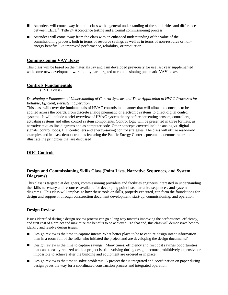- Attendees will come away from the class with a general understanding of the similarities and differences between LEED®, Title 24 Acceptance testing and a formal commissioning process.
- Attendees will come away from the class with an enhanced understanding of the value of the commissioning process, both in terms of resource savings as well as in terms of non-resource or nonenergy benefits like improved performance, reliability, or production.

## **Commissioning VAV Boxes**

This class will be based on the materials Jay and Tim developed previously for use last year supplemented with some new development work on my part targeted at commissioning pneumatic VAV boxes.

## **Controls Fundamentals**

(SMUD class)

#### *Developing a Fundamental Understanding of Control Systems and Their Application to HVAC Processes for Reliable, Efficient, Persistent Operation*

This class will cover the fundamentals of HVAC controls in a manner that will allow the concepts to be applied across the boards, from discrete analog pneumatic or electronic systems to direct digital control systems. It will include a brief overview of HVAC system theory before presenting sensors, controllers, actuating systems and other control system components. Control logic will be presented in three formats: as narrative text, as line diagrams and as computer code. Other concepts covered include analog vs. digital signals, control loops, PID controllers and energy-saving control strategies. The class will utilize real-world examples and in-class demonstrations featuring the Pacific Energy Center's pneumatic demonstrators to illustrate the principles that are discussed

# **DDC Controls**

## **Design and Commissioning Skills Class (Point Lists, Narrative Sequences, and System Diagrams)**

This class is targeted at designers, commissioning providers and facilities engineers interested in understanding the skills necessary and resources available for developing point lists, narrative sequences, and system diagrams. This class will emphasize how these tools or skills, properly executed, can form the foundations for design and support it through construction document development, start-up, commissioning, and operation.

# **Design Review**

Issues identified during a design review process can go a long way towards improving the performance, efficiency, and first cost of a project and maximize the benefits to be achieved. To that end, this class will demonstrate how to identify and resolve design issues.

- Design review is the time to capture intent: What better place to be to capture design intent information than in a room full of the folks who initiated the project and are developing the design documents?
- Design review is the time to capture savings: Many times, efficiency and first cost savings opportunities that can be easily realized while a project is still evolving during design become prohibitively expensive or impossible to achieve after the building and equipment are ordered or in place.
- Design review is the time to solve problems: A project that is integrated and coordination on paper during design paves the way for a coordinated construction process and integrated operation.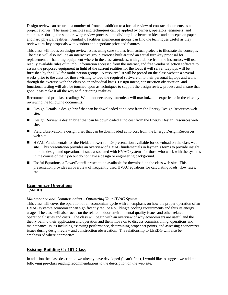Design review can occur on a number of fronts in addition to a formal review of contract documents as a project evolves. The same principles and techniques can be applied by owners, operators, engineers, and contractors during the shop drawing review process – the divining line between ideas and concepts on paper and hard physical realities. Similarly, facilities engineering groups can find the techniques useful as they review turn-key proposals with vendors and negotiate price and features.

This class will focus on design review issues using case studies from actual projects to illustrate the concepts. The class will also include an interactive group exercise built around an actual turn-key proposal for replacement air handling equipment where-in the class attendees, with guidance from the instructor, will use readily available rules of thumb, information accessed from the internet, and free vendor selection software to assess the proposed equipment in light of the current realities for the loads it will serve. Laptops will be furnished by the PEC for multi-person groups. A resource list will be posted on the class website a several weeks prior to the class for those wishing to load the required software onto their personal laptops and work through the exercise with the class on an individual basis. Design intent, construction observation, and functional testing will also be touched upon as techniques to support the design review process and ensure that good ideas make it all the way to functioning realities.

Recommended pre-class reading: While not necessary, attendees will maximize the experience in the class by reviewing the following documents.

- Design Details, a design brief that can be downloaded at no cost from the Energy Design Resources web site.
- Design Review, a design brief that can be downloaded at no cost from the Energy Design Resources web site.
- Field Observation, a design brief that can be downloaded at no cost from the Energy Design Resources web site.
- HVAC Fundamentals for the Field, a PowerPoint<sup>®</sup> presentation available for download on the class web site. This presentation provides an overview of HVAC fundamentals in layman's terms to provide insight into the design and operational issues associated with HVAC systems for those who work with the systems in the course of their job but do not have a design or engineering background.
- Useful Equations, a PowerPoint<sup>®</sup> presentation available for download on the class web site. This presentation provides an overview of frequently used HVAC equations for calculating loads, flow rates, etc.

## **Economizer Operations**

(SMUD)

#### *Maintenance and Commissioning – Optimizing Your HVAC System*

This class will cover the operation of an economizer cycle with an emphasis on how the proper operation of an HVAC system's economizer can significantly reduce a building's cooling requirements and thus its energy usage. The class will also focus on the related indoor environmental quality issues and other related operational issues and costs. The class will begin with an overview of why economizers are useful and the theory behind their application and operation and them move on to discuss commissioning, operations and maintenance issues including assessing performance, determining proper set points, and assessing economizer issues during design review and construction observation. The relationship to LEED® will also be emphasized where appropriate

## **Existing Building Cx 101 Class**

In addition the class description we already have developed (I can't find), I would like to suggest we add the following pre-class reading recommendations to the description on the web site.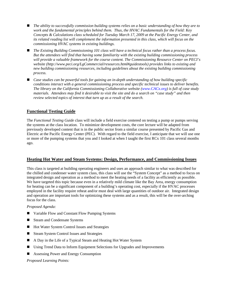- *The ability to successfully commission building systems relies on a basic understanding of how they are to work and the fundamental principles behind them. Thus, the HVAC Fundamentals for the Field: Key Concepts & Calculations class scheduled for Tuesday March 17, 2009 at the Pacific Energy Center, and its related reading list will complement the information presented in this class, which will focus on the commissioning HVAC systems in existing buildings.*
- *The Existing Building Commissioning 101 class will have a technical focus rather than a process focus. But the attendees will find that having some familiarity with the existing building commissioning process will provide a valuable framework for the course content. The Commissioning Resource Center on PECI's website (http://www.peci.org/LgCommercial/resources.html#guidestools) provides links to existing and new building commissioning resources, including guidelines about the existing building commissioning process.*
- Case studies can be powerful tools for gaining an in-depth understanding of how building specific *conditions interact with a general commissioning process and specific technical issues to deliver benefits. The library on the California Commissioning Collaborative website (www.CACx.org) is full of case study materials. Attendees may find it desirable to visit the site and do a search on "case study" and then review selected topics of interest that turn up as a result of the search.*

# **Functional Testing Guide**

The *Functional Testing Guide* class will include a field exercise centered on testing a pump or pumps serving the systems at the class location. To minimize development costs, the core lecture will be adapted from previously developed content that is in the public sector from a similar course presented by Pacific Gas and Electric at the Pacific Energy Center (PEC). With regard to the field exercise, I anticipate that we will use one or more of the pumping systems that you and I looked at when I taught the first RCx 101 class several months ago.

# **Heating Hot Water and Steam Systems: Design, Performance, and Commissioning Issues**

This class is targeted at building operating engineers and uses an approach similar to what was described for the chilled and condenser water system class, this class will use the "System Concept" as a method to focus on integrated design and operation as a method to meet the heating needs of a facility as efficiently as possible. We have targeted this topic because even in a relatively mild climate like the Bay Area, energy consumption for heating can be a significant component of a building's operating cost, especially if the HVAC processes employed in the facility require reheat and/or must deal with large quantities of outdoor air. Integrated design and operation are important tools for optimizing these systems and as a result, this will be the over-arching focus for the class.

#### *Proposed Agenda:*

- Variable Flow and Constant Flow Pumping Systems
- Steam and Condensate Systems
- Hot Water System Control Issues and Strategies
- Steam System Control Issues and Strategies
- A Day in the Life of a Typical Steam and Heating Hot Water System
- Using Trend Data to Inform Equipment Selections for Upgrades and Improvements
- Assessing Power and Energy Consumption

## *Proposed Learning Points:*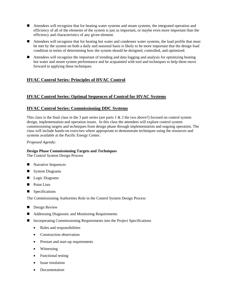- Attendees will recognize that for heating water systems and steam systems, the integrated operation and efficiency of all of the elements of the system is just as important, or maybe even more important than the efficiency and characteristics of any given element.
- Attendees will recognize that for heating hot water and condenser water systems, the load profile that must be met by the system on both a daily and seasonal basis is likely to be more important that the design load condition in terms of determining how the system should be designed, controlled, and optimized.
- Attendees will recognize the important of trending and data logging and analysis for optimizing heating hot water and steam system performance and be acquainted with tool and techniques to help them move forward in applying these techniques.

# **HVAC Control Series: Principles of HVAC Control**

# **HVAC Control Series: Optimal Sequences of Control for HVAC Systems**

# **HVAC Control Series: Commissioning DDC Systems**

This class is the final class in the 3 part series (are parts  $1 \& 2$  the two above?) focused on control system design, implementation and operation issues. In this class the attendees will explore control system commissioning targets and techniques from design phase through implementation and ongoing operation. The class will include hands-on exercises where appropriate to demonstrate techniques using the resources and systems available at the Pacific Energy Center.

*Proposed Agenda:* 

## **Design Phase Commissioning Targets and Techniques**

The Control System Design Process

- **Narrative Sequences**
- System Diagrams
- **Logic Diagrams**
- Point Lists
- **Specifications**

The Commissioning Authorities Role in the Control System Design Process

- **Design Review**
- Addressing Diagnostic and Monitoring Requirements
- Incorporating Commissioning Requirements into the Project Specifications
	- Roles and responsibilities
	- Construction observation
	- Prestart and start-up requirements
	- Witnessing
	- Functional testing
	- Issue resolution
	- Documentation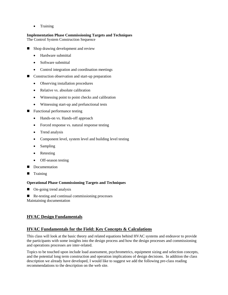• Training

# **Implementation Phase Commissioning Targets and Techniques**

The Control System Construction Sequence

- Shop drawing development and review
	- Hardware submittal
	- Software submittal
	- Control integration and coordination meetings
- Construction observation and start-up preparation
	- Observing installation procedures
	- Relative vs. absolute calibration
	- Witnessing point to point checks and calibration
	- Witnessing start-up and prefunctional tests
- Functional performance testing
	- Hands-on vs. Hands-off approach
	- Forced response vs. natural response testing
	- Trend analysis
	- Component level, system level and building level testing
	- Sampling
	- Retesting
	- Off-season testing
- Documentation
- **Training**

## **Operational Phase Commissioning Targets and Techniques**

■ On-going trend analysis

■ Re-testing and continual commissioning processes Maintaining documentation

# **HVAC Design Fundamentals**

# **HVAC Fundamentals for the Field: Key Concepts & Calculations**

This class will look at the basic theory and related equations behind HVAC systems and endeavor to provide the participants with some insights into the design process and how the design processes and commissioning and operations processes are inter-related.

Topics to be touched upon include load assessment, psychrometrics, equipment sizing and selection concepts, and the potential long term construction and operation implications of design decisions. In addition the class description we already have developed, I would like to suggest we add the following pre-class reading recommendations to the description on the web site.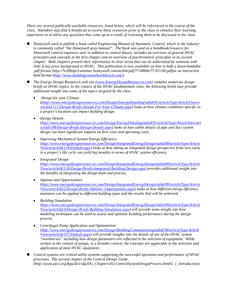*There are several publically available resources, listed below, which will be referenced in the course of the class. Attendees may find it beneficial to review these resources prior to the class to enhance their learning experience or to allow any questions that come up as a result of reviewing them to be discussed in the class.*

- *Honeywell used to publish a book called Engineering Manual of Automatic Control, which in the industry is commonly called "the Honeywell gray manual". The book was used as a handbook/resource for Honeywell control engineers and, in addition to control theory, includes an overview of general HVAC principles and concepts in the first chapter and an overview of psychrometric principles in its second chapter. Both chapters present their information in clear terms that can be understood by someone with little if any prior background in HVAC. This publication is now available on-line in both a down-loadable .pdf format (http://%20http//customer.honeywell.com/techlit/pdf/77-0000s/77-E1100.pdf)or an interactive html format (http://www.buildingcontrolworkbench.com/).*
- *The Energy Design Resources web site (www.EnergyDesignResources.com) contains numerous design briefs on HVAC topics. In the context of the HVAC fundamentals class, the following briefs may provide additional insight into some of the topics targeted by the class.* 
	- *Design for your Climate ((http://www.energydesignresources.com/Design/EnergyDetailing/tabid/91/articleType/ArticleView/a rticleId/111/Design-Briefs-Design-For-Your-Climate.aspx) looks at how climate conditions specific to a project's location can impact building design.*
	- *Design Details (http://www.energydesignresources.com/Design/EnergyDetailing/tabid/91/articleType/ArticleView/art icleId/108/Design-Briefs-Design-Details.aspx) looks at how subtle details of pipe and duct system design can have significant impacts on first costs and operating costs.*
	- *Improving Mechanical System Energy Efficiency (http://www.energydesignresources.com/Design/IntegratedEnergyDesign/tabid/89/articleType/Article View/articleId/118/Default.aspx) looks at how taking an integrated design perspective from very early in a project's life cycle can yield big benefits in terms of HVAC system efficiency.*
	- *Integrated Design*

*(http://www.energydesignresources.com/Design/IntegratedEnergyDesign/tabid/89/articleType/Article View/articleId/110/Design-Briefs-Integrated-Building-Design.aspx) provides additional insight into the benefits of integrating the design team and process.* 

*Options and Opportunities* 

*(http://www.energydesignresources.com/Design/IntegratedEnergyDesign/tabid/89/articleType/Article View/articleId/2/Design-Briefs-Options--Opportunities.aspx) looks at how different energy efficiency measures can be applied to different building types and the results that will be achieved.* 

*Building Simulation* 

*(http://www.energydesignresources.com/Design/IntegratedEnergyDesign/tabid/89/articleType/Article View/articleId/3/Design-Briefs-Building-Simulation.aspx) will provide some insight into how modeling techniques can be used to assess and optimize building performance during the design process.* 

- *Centrifugal Pump Application and Optimization (http://www.energydesignresources.com/Design/BuildingCommissioning/tabid/90/articleType/Article View/articleId/357/Default.aspx) will provide insights into the details of one of the HVAC system "workhorses" including how design parameters are reflected in the selection of equipment. While written in the context of pumps, in a broader context, the concepts are applicable to the selection and application of most HVAC equipment.*
- Control systems are critical utility systems supporting the successful operation and performance of HVAC *processes. The second chapter of the Control Design Guide (http://www.peci.org/ftguide/csdg/DG\_Chapters/02-ControlSystemDesignProcess.htm#2\_1\_Introduction)*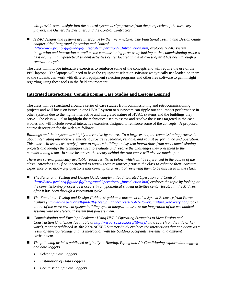*will provide some insight into the control system design process from the perspective of the three key players; the Owner, the Designer, and the Control Contractor.* 

 *HVAC designs and systems are interactive by their very nature. The Functional Testing and Design Guide chapter titled Integrated Operation and Control (http://www.peci.org/ftguide/ftg/IntegratedOperation/1\_Introduction.htm) explores HVAC system integration and interaction as well as the commissioning process by looking at the commissioning process as it occurs in a hypothetical student activities center located in the Midwest after it has been through a renovation cycle.* 

The class will include interactive exercises to reinforce some of the concepts and will require the use of the PEC laptops. The laptops will need to have the equipment selection software we typically use loaded on them so the students can work with different equipment selection programs and other free software to gain insight regarding using these tools in the field environment.

## **Integrated Interactions: Commissioning Case Studies and Lessons Learned**

The class will be structured around a series of case studies from commissioning and retrocommissioning projects and will focus on issues in one HVAC system or subsystem can ripple out and impact performance in other systems due to the highly interactive and integrated nature of HVAC systems and the buildings they serve. The class will also highlight the techniques used to assess and resolve the issues targeted in the case studies and will include several interactive exercises designed to reinforce some of the concepts. A proposed course description for the web site follows:

*Buildings and their system are highly interactive by nature. To a large extent, the commissioning process is about integrating interactive elements to provide repeatable, reliable, and robust performance and operation. This class will use a case study format to explore building and system interactions from past commissioning projects and identify the techniques used to evaluate and resolve the challenges they presented to the commissioning team. In some instances, the theory behind the root cause will also be touch upon.* 

*There are several publically available resources, listed below, which will be referenced in the course of the class. Attendees may find it beneficial to review these resources prior to the class to enhance their learning experience or to allow any questions that come up as a result of reviewing them to be discussed in the class.* 

- *The Functional Testing and Design Guide chapter titled Integrated Operation and Control (http://www.peci.org/ftguide/ftg/IntegratedOperation/1\_Introduction.htm) explores the topic by looking at the commissioning process as it occurs in a hypothetical student activities center located in the Midwest after it has been through a renovation cycle.*
- *The Functional Testing and Design Guide test guidance document titled System Recovery from Power Failure (http://www.peci.org/ftguide/ftg/Test\_guidance/Tests/TG07-Power\_Failure\_Recovery.doc) looks at one of the more critical system building system integration issues; the integration of the mechanical systems with the electrical system that powers them.*
- *Commissioning and Envelope Leakage: Using HVAC Operating Strategies to Meet Design and Construction Challenges (available at http://resources.cacx.org/library/ via a search on the title or key word), a paper published at the 2004 ACEEE Summer Study explores the interactions that can occur as a result of envelop leakage and its interaction with the building occupants, systems, and ambient environment.*
- *The following articles published originally in Heating, Piping and Air Conditioning explore data logging and data loggers.* 
	- *Selecting Data Loggers*
	- *Installation of Data Loggers*
	- *Commissioning Data Loggers*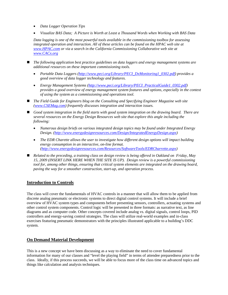- *Data Logger Operation Tips*
- *Visualize BAS Data; A Picture is Worth at Least a Thousand Words when Working with BAS Data*

*Data logging is one of the most powerful tools available in the commissioning toolbox for assessing*  integrated operation and interaction. All of these articles can be found on the HPAC web site at *www.HPAC.com or via a search in the California Commissioning Collaborative web site at www.CACx.org*

- The following application best practice guidelines on data loggers and energy management systems are *additional resources on these important commissioning tools.*
	- *Portable Data Loggers (http://www.peci.org/Library/PECI\_DxMonitoring1\_0302.pdf) provides a good overview of data logger technology and features.*
	- *Energy Management Systems (http://www.peci.org/Library/PECI\_PracticalGuide1\_0302.pdf) provides a good overview of energy management system features and options, especially in the context of using the system as a commissioning and operations tool.*
- The Field Guide for Engineers blog on the Consulting and Specifying Engineer Magazine web site *(www.CSEMag.com) frequently discusses integration and interaction issues.*
- *Good system integration in the field starts with good system integration on the drawing board. There are several resources on the Energy Design Resources web site that explore this angle including the following:* 
	- *Numerous design briefs on various integrated design topics may be found under Integrated Energy Design. (http://www.energydesignresources.com/Design/IntegratedEnergyDesign.aspx)*
	- *The EDR Charette allows the user to investigate how different design options will impact building energy consumption in an interactive, on-line format. (http://www.energydesignresources.com/Resources/SoftwareTools/EDRCharrette.aspx)*
- *Related to the preceding, a training class on design review is being offered in Oakland on Friday, May 15, 2009 (INSERT LINK HERE WHEN THE SITE IS UP). Design review is a powerful commissioning tool for, among other things, ensuring that critical system elements are integrated on the drawing board, paving the way for a smoother construction, start-up, and operation process.*

# **Introduction to Controls**

The class will cover the fundamentals of HVAC controls in a manner that will allow them to be applied from discrete analog pneumatic or electronic systems to direct digital control systems. It will include a brief overview of HVAC system types and components before presenting sensors, controllers, actuating systems and other control system components. Control logic will be presented in three formats: as narrative text, as line diagrams and as computer code. Other concepts covered include analog vs. digital signals, control loops, PID controllers and energy-saving control strategies. The class will utilize real-world examples and in-class exercises featuring pneumatic demonstrators with the principles illustrated applicable to a building's DDC system.

# **On Demand Material Development**

This is a new concept we have been discussing as a way to eliminate the need to cover fundamental information for many of our classes and "level the playing field" in terms of attendee preparedness prior to the class. Ideally, if this process succeeds, we will be able to focus more of the class time on advanced topics and things like calculation and analysis techniques.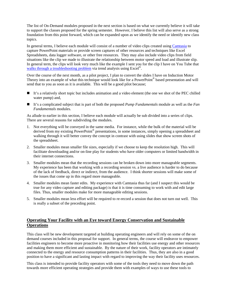The list of On-Demand modules proposed in the next section is based on what we currently believe it will take to support the classes proposed for the spring semester. However, I believe this list will also serve as a strong foundation from this point forward, which can be expanded upon as we identify the need or identify new class topics.

In general terms, I believe each module will consist of a number of video clips created using Camtasia to capture PowerPoint materials or provide screen captures of other resources and techniques like Excel Spreadsheets, data logger software, or other free resources. They may also include video clips from field situations like the clip we made to illustrate the relationship between motor speed and load and illustrate slip. In general term, the clips will look very much like the example I sent you for the clip I have on You Tube that walks through a troubleshooting problem via trend analysis using Excel<sup>®</sup>.

Over the course of the next month, as a pilot project, I plan to convert the slides I have on Induction Motor Theory into an example of what this technique would look like for a PowerPoint® based presentation and will send that to you as soon as it is available. This will be a good pilot because;

- It's a relatively short topic but includes animation and a video element (the one we shot of the PEC chilled water pump) and,
- It's a complicated subject that is part of both the proposed *Pump Fundamentals* module as well as the *Fan Fundamentals* modules.

As allude to earlier in this section, I believe each module will actually be sub divided into a series of clips. There are several reasons for subdividing the modules.

- 1. Not everything will be conveyed in the same media. For instance, while the bulk of the material will be derived from my existing PowerPoint® presentations, in some instances, simply opening a spreadsheet and walking through it will better convey the concept in contrast with using slides that show screen shots of the spreadsheet.
- 2. Smaller modules mean smaller file sizes, especially if we choose to keep the resolution high. This will facilitate downloading and/or on-line play for students who have older computers or limited bandwidth in their internet connections.
- 3. Smaller modules mean that the recording sessions can be broken down into more manageable segments. My experience has been that working with a recording session vs. a live audience is harder to do because of the lack of feedback, direct or indirect, from the audience. I think shorter sessions will make some of the issues that come up in this regard more manageable.
- 4. Smaller modules mean faster edits. My experience with Camtasia thus far (and I suspect this would be true for any video capture and editing package) is that it is time consuming to work with and edit large files. Thus, smaller modules make for more manageable editing sessions.
- 5. Smaller modules mean less effort will be required to re-record a session that does not turn out well. This is really a subset of the preceding point.

# **Operating Your Facility with an Eye toward Energy Conservation and Sustainable Operations**

This class will be new development targeted at building operating engineers and will rely on some of the on demand courses included in this proposal for support. In general terms, the course will endeavor to empower facilities engineers to become more proactive in monitoring how their facilities use energy and other resources and making them more efficient and sustainable. By the nature of their work, facility operators are intimately connected to the energy and resource consumption patterns in their facilities. Thus, they are also in a good position to have a significant and lasting impact with regard to improving the way their facility uses resources.

This class is intended to provide facility operators with some of the tools they need to move down the path towards more efficient operating strategies and provide them with examples of ways to use these tools to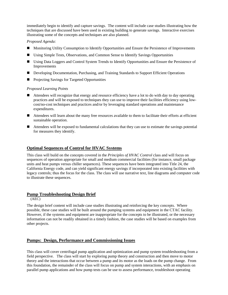immediately begin to identify and capture savings. The content will include case studies illustrating how the techniques that are discussed have been used in existing building to generate savings. Interactive exercises illustrating some of the concepts and techniques are also planned.

#### *Proposed Agenda:*

- **Monitoring Utility Consumption to Identify Opportunities and Ensure the Persistence of Improvements**
- Using Simple Tests, Observations, and Common Sense to Identify Savings Opportunities
- Using Data Loggers and Control System Trends to Identify Opportunities and Ensure the Persistence of Improvements
- **Developing Documentation, Purchasing, and Training Standards to Support Efficient Operations**
- Projecting Savings for Targeted Opportunities

#### *Proposed Learning Points*

- Attendees will recognize that energy and resource efficiency have a lot to do with day to day operating practices and will be exposed to techniques they can use to improve their facilities efficiency using lowcost/no-cost techniques and practices and/or by leveraging standard operations and maintenance expenditures.
- Attendees will learn about the many free resources available to them to facilitate their efforts at efficient sustainable operation.
- Attendees will be exposed to fundamental calculations that they can use to estimate the savings potential for measures they identify.

## **Optimal Sequences of Control for HVAC Systems**

This class will build on the concepts covered in the *Principles of HVAC Control* class and will focus on sequences of operation appropriate for small and medium commercial facilities (for instance, small package units and heat pumps versus chiller sequences). These sequences have been integrated into Title 24, the California Energy code, and can yield significant energy savings if incorporated into existing facilities with legacy controls; thus the focus for the class. The class will use narrative text, line diagrams and computer code to illustrate these sequences.

# **Pump Troubleshooting Design Brief**

(AEC)

The design brief content will include case studies illustrating and reinforcing the key concepts. Where possible, these case studies will be built around the pumping systems and equipment in the CTAC facility. However, if the systems and equipment are inappropriate for the concepts to be illustrated, or the necessary information can not be readily obtained in a timely fashion, the case studies will be based on examples from other projects.

# **Pumps: Design, Performance and Commissioning Issues**

This class will cover centrifugal pump application and optimization and pump system troubleshooting from a field perspective. The class will start by exploring pump theory and construction and then move to motor theory and the interactions that occur between a pump and its motor as the loads on the pump change. From this foundation, the remainder of the class will focus on pump and system interactions, with an emphasis on parallel pump applications and how pump tests can be use to assess performance, troubleshoot operating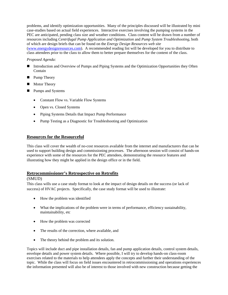problems, and identify optimization opportunities. Many of the principles discussed will be illustrated by mini case-studies based on actual field experiences. Interactive exercises involving the pumping systems in the PEC are anticipated, pending class size and weather conditions. Class content will be drawn from a number of resources including *Centrifugal Pump Application and Optimization* and *Pump System Troubleshooting*, both of which are design briefs that can be found on the *Energy Design Resources web site* (www.energydesignresources.com). A recommended reading list will be developed for you to distribute to class attendees prior to the class to allow them to better prepare themselves for the content of the class.

## *Proposed Agenda:*

- Introduction and Overview of Pumps and Piping Systems and the Optimization Opportunities they Often Contain
- **Pump Theory**
- **Motor Theory**
- **Pumps and Systems** 
	- Constant Flow vs. Variable Flow Systems
	- Open vs. Closed Systems
	- Piping Systems Details that Impact Pump Performance
	- Pump Testing as a Diagnostic for Troubleshooting and Optimization

## **Resources for the Resourceful**

This class will cover the wealth of no-cost resources available from the internet and manufacturers that can be used to support building design and commissioning processes. The afternoon session will consist of hands-on experience with some of the resources for the PEC attendees, demonstrating the resource features and illustrating how they might be applied in the design office or in the field.

## **Retrocommissioner's Retrospective on Retrofits**

## (SMUD)

This class wills use a case study format to look at the impact of design details on the success (or lack of success) of HVAC projects. Specifically, the case study format will be used to illustrate:

- How the problem was identified
- What the implications of the problem were in terms of performance, efficiency sustainability, maintainability, etc
- How the problem was corrected
- The results of the correction, where available, and
- The theory behind the problem and its solution.

Topics will include duct and pipe installation details, fan and pump application details, control system details, envelope details and power system details. Where possible, I will try to develop hands-on class-room exercises related to the materials to help attendees apply the concepts and further their understanding of the topic. While the class will focus on field issues encountered in retrocommissioning and operations experiences the information presented will also be of interest to those involved with new construction because getting the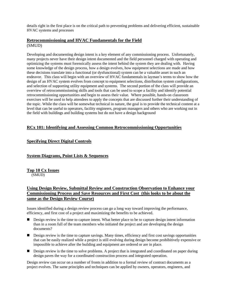details right in the first place is on the critical path to preventing problems and delivering efficient, sustainable HVAC systems and processes

## **Retrocommissioning and HVAC Fundamentals for the Field** (SMUD)

Developing and documenting design intent is a key element of any commissioning process. Unfortunately, many projects never have their design intent documented and the field personnel charged with operating and optimizing the systems must forensically assess the intent behind the system they are dealing with. Having some knowledge of the design process, how a design evolves, how equipment selections are made and how these decisions translate into a functional (or dysfunctional) system can be a valuable asset in such an endeavor. This class will begin with an overview of HVAC fundamentals in layman's terms to show how the design of an HVAC system evolves from concept to equipment selections, distribution system configurations, and selection of supporting utility equipment and systems. The second portion of the class will provide an overview of retrocommissioning skills and tools that can be used to scope a facility and identify potential retrocommissioning opportunities and begin to assess their value. Where possible, hands-on classroom exercises will be used to help attendees to apply the concepts that are discussed further their understanding of the topic. While the class will be somewhat technical in nature, the goal is to provide the technical content at a level that can be useful to operators, facility engineers, program managers and others who are working out in the field with buildings and building systems but do not have a design background

# **RCx 101: Identifying and Assessing Common Retrocommissioning Opportunities**

# **Specifying Direct Digital Controls**

# **System Diagrams, Point Lists & Sequences**

**Top 10 Cx Issues** (SMUD)

# **Using Design Review, Submittal Review and Construction Observation to Enhance your Commissioning Process and Save Resources and First Cost (this looks to be about the same as the Design Review Course)**

Issues identified during a design review process can go a long way toward improving the performance, efficiency, and first cost of a project and maximizing the benefits to be achieved.

- Design review is the time to capture intent. What better place to be to capture design intent information than in a room full of the team members who initiated the project and are developing the design documents?
- Design review is the time to capture savings. Many times, efficiency and first cost savings opportunities that can be easily realized while a project is still evolving during design become prohibitively expensive or impossible to achieve after the building and equipment are ordered or are in place.
- **Design review is the time to solve problems.** A project that is integrated and coordinated on paper during design paves the way for a coordinated construction process and integrated operation.

Design review can occur on a number of fronts in addition to a formal review of contract documents as a project evolves. The same principles and techniques can be applied by owners, operators, engineers, and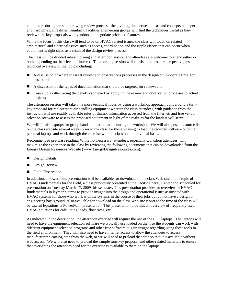contractors during the shop drawing review process - the dividing line between ideas and concepts on paper and hard physical realities. Similarly, facilities engineering groups will find the techniques useful as they review turn-key proposals with vendors and negotiate price and features.

While the focus of this class will tend to be on HVAC related issues, the class will touch on related architectural and electrical issues such as access, coordination and the ripple effects that can occur when equipment is right sized as a result of the design review process.

The class will be divided into a morning and afternoon session and attendees are welcome to attend either or both, depending on their level of interest. The morning session will consist of a broader perspective, less technical overview of the topic including:

- A discussion of where to target review and observations processes in the design-build-operate time for best benefit,
- A discussion of the types of documentation that should be targeted for review, and
- **E** Case studies illustrating the benefits achieved by applying the review and observation processes to actual projects

The afternoon session will take on a more technical focus by using a workshop approach built around a turnkey proposal for replacement air handling equipment wherein the class attendees, with guidance from the instructor, will use readily available rules of thumb, information accessed from the Internet, and free vendor selection software to assess the proposed equipment in light of the realities for the loads it will serve.

We will furnish laptops for group hands-on participation during the workshop. We will also post a resource list on the class website several weeks prior to the class for those wishing to load the required software onto their personal laptops and work through the exercise with the class on an individual basis.

Recommended pre-class reading: While not necessary, attendees, especially workshop attendees, will maximize the experience in the class by reviewing the following documents that can be downloaded from the Energy Design Resources Website (www.EnergyDesignResources.com):

- **Design Details**
- **Design Review**
- Field Observation

In addition, a PowerPoint presentation will be available for download on the class Web site on the topic of HVAC Fundamentals for the Field, a class previously presented at the Pacific Energy Center and scheduled for presentation on Tuesday March 17, 2009 this semester. This presentation provides an overview of HVAC fundamentals in layman's terms to provide insight into the design and operational issues associated with HVAC systems for those who work with the systems in the course of their jobs but do not have a design or engineering background. Also available for download on the class Web site closer to the time of the class will be Useful Equations, a PowerPoint presentation. This presentation provides an overview of frequently used HVAC equations for calculating loads, flow rates, etc.

As indicated in the description, the afternoon exercise will require the use of the PEC laptops. The laptops will need to have the equipment selection software we typically use loaded on them so the students can work with different equipment selection programs and other free software to gain insight regarding using these tools in the field environment. They will also need to have internet access to allow the attendees to access manufacturer's catalog data from the web, or we will need to preload that data so that it is available without web access. We will also need to preload the sample turn-key proposal and other related materials to ensure that everything the attendees need for the exercise is available to them on the laptops.